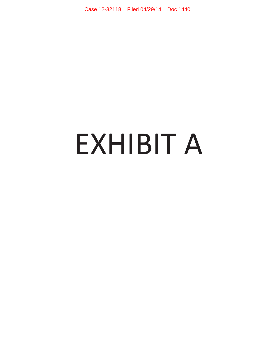# EXHIBIT A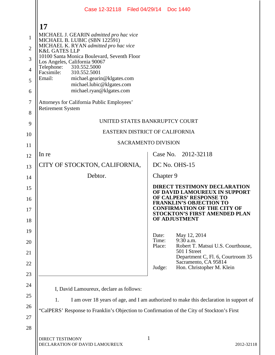|                | Case 12-32118 Filed 04/29/14 Doc 1440                                                       |                          |           |                                                                                                 |  |  |
|----------------|---------------------------------------------------------------------------------------------|--------------------------|-----------|-------------------------------------------------------------------------------------------------|--|--|
|                | 17                                                                                          |                          |           |                                                                                                 |  |  |
| 1              | MICHAEL J. GEARIN admitted pro hac vice<br>MICHAEL B. LUBIC (SBN 122591)                    |                          |           |                                                                                                 |  |  |
| $\overline{2}$ | MICHAEL K. RYAN admitted pro hac vice<br><b>K&amp;L GATES LLP</b>                           |                          |           |                                                                                                 |  |  |
| 3              | 10100 Santa Monica Boulevard, Seventh Floor<br>Los Angeles, California 90067                |                          |           |                                                                                                 |  |  |
| $\overline{4}$ | 310.552.5000<br>Telephone:<br>Facsimile:<br>310.552.5001                                    |                          |           |                                                                                                 |  |  |
| 5              | Email:<br>michael.gearin@klgates.com<br>michael.lubic@klgates.com                           |                          |           |                                                                                                 |  |  |
| 6              | michael.ryan@klgates.com                                                                    |                          |           |                                                                                                 |  |  |
| 7<br>8         | Attorneys for California Public Employees'<br><b>Retirement System</b>                      |                          |           |                                                                                                 |  |  |
| 9              | UNITED STATES BANKRUPTCY COURT                                                              |                          |           |                                                                                                 |  |  |
| 10             | EASTERN DISTRICT OF CALIFORNIA                                                              |                          |           |                                                                                                 |  |  |
| 11             | <b>SACRAMENTO DIVISION</b>                                                                  |                          |           |                                                                                                 |  |  |
| 12             | In re                                                                                       |                          |           | Case No. 2012-32118                                                                             |  |  |
| 13             | CITY OF STOCKTON, CALIFORNIA,                                                               |                          |           | DC No. OHS-15                                                                                   |  |  |
| 14             | Debtor.                                                                                     |                          | Chapter 9 |                                                                                                 |  |  |
| 15             |                                                                                             |                          |           | <b>DIRECT TESTIMONY DECLARATION</b><br>OF DAVID LAMOUREUX IN SUPPORT                            |  |  |
| 16             |                                                                                             |                          |           | OF CALPERS' RESPONSE TO<br><b>FRANKLIN'S OBJECTION TO</b><br><b>CONFIRMATION OF THE CITY OF</b> |  |  |
| 17<br>18       |                                                                                             |                          |           | <b>STOCKTON'S FIRST AMENDED PLAN</b><br>OF ADJUSTMENT                                           |  |  |
| 19             |                                                                                             |                          |           |                                                                                                 |  |  |
| 20             |                                                                                             | Date:<br>Time:<br>Place: |           | May 12, 2014<br>9:30 a.m.<br>Robert T. Matsui U.S. Courthouse,                                  |  |  |
| 21             |                                                                                             |                          |           | 501 I Street<br>Department C, Fl. 6, Courtroom 35                                               |  |  |
| 22             |                                                                                             | Judge:                   |           | Sacramento, CA 95814<br>Hon. Christopher M. Klein                                               |  |  |
| 23             |                                                                                             |                          |           |                                                                                                 |  |  |
| 24             | I, David Lamoureux, declare as follows:                                                     |                          |           |                                                                                                 |  |  |
| 25             | I am over 18 years of age, and I am authorized to make this declaration in support of<br>1. |                          |           |                                                                                                 |  |  |
| 26             | "CalPERS' Response to Franklin's Objection to Confirmation of the City of Stockton's First  |                          |           |                                                                                                 |  |  |
| 27             |                                                                                             |                          |           |                                                                                                 |  |  |
| 28             |                                                                                             |                          |           |                                                                                                 |  |  |
|                | <b>DIRECT TESTIMONY</b><br>DECLARATION OF DAVID LAMOUREUX                                   | 1                        |           | 2012-32118                                                                                      |  |  |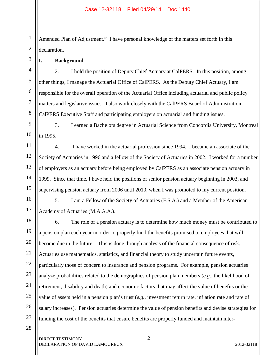1 2 Amended Plan of Adjustment." I have personal knowledge of the matters set forth in this declaration.

## **I. Background**

3

4

5

6

7

8

9

10

11

12

13

14

15

16

17

19

20

21

22

23

24

25

2. I hold the position of Deputy Chief Actuary at CalPERS. In this position, among other things, I manage the Actuarial Office of CalPERS. As the Deputy Chief Actuary, I am responsible for the overall operation of the Actuarial Office including actuarial and public policy matters and legislative issues. I also work closely with the CalPERS Board of Administration, CalPERS Executive Staff and participating employers on actuarial and funding issues.

3. I earned a Bachelors degree in Actuarial Science from Concordia University, Montreal in 1995.

4. I have worked in the actuarial profession since 1994. I became an associate of the Society of Actuaries in 1996 and a fellow of the Society of Actuaries in 2002. I worked for a number of employers as an actuary before being employed by CalPERS as an associate pension actuary in 1999. Since that time, I have held the positions of senior pension actuary beginning in 2003, and supervising pension actuary from 2006 until 2010, when I was promoted to my current position.

5. I am a Fellow of the Society of Actuaries (F.S.A.) and a Member of the American Academy of Actuaries (M.A.A.A.).

18 26 6. The role of a pension actuary is to determine how much money must be contributed to a pension plan each year in order to properly fund the benefits promised to employees that will become due in the future. This is done through analysis of the financial consequence of risk. Actuaries use mathematics, statistics, and financial theory to study uncertain future events, particularly those of concern to insurance and pension programs. For example, pension actuaries analyze probabilities related to the demographics of pension plan members (*e.g.*, the likelihood of retirement, disability and death) and economic factors that may affect the value of benefits or the value of assets held in a pension plan's trust (*e.g.*, investment return rate, inflation rate and rate of salary increases). Pension actuaries determine the value of pension benefits and devise strategies for funding the cost of the benefits that ensure benefits are properly funded and maintain inter-

28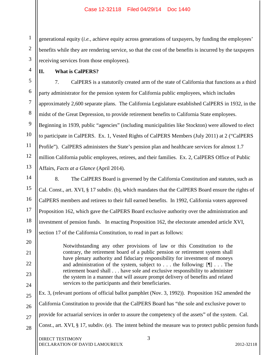1 2 3 generational equity (*i.e.*, achieve equity across generations of taxpayers, by funding the employees' benefits while they are rendering service, so that the cost of the benefits is incurred by the taxpayers receiving services from those employees).

**II. What is CalPERS?**

4

5

6

7

8

9

10

11

12

13

20

21

22

23

24

7. CalPERS is a statutorily created arm of the state of California that functions as a third party administrator for the pension system for California public employees, which includes approximately 2,600 separate plans. The California Legislature established CalPERS in 1932, in the midst of the Great Depression, to provide retirement benefits to California State employees. Beginning in 1939, public "agencies" (including municipalities like Stockton) were allowed to elect to participate in CalPERS. Ex. 1, Vested Rights of CalPERS Members (July 2011) at 2 ("CalPERS Profile"). CalPERS administers the State's pension plan and healthcare services for almost 1.7 million California public employees, retirees, and their families. Ex. 2, CalPERS Office of Public Affairs, *Facts at a Glance* (April 2014).

14 15 16 17 18 19 8. The CalPERS Board is governed by the California Constitution and statutes, such as Cal. Const., art. XVI, § 17 subdiv. (b), which mandates that the CalPERS Board ensure the rights of CalPERS members and retirees to their full earned benefits. In 1992, California voters approved Proposition 162, which gave the CalPERS Board exclusive authority over the administration and investment of pension funds. In enacting Proposition 162, the electorate amended article XVI, section 17 of the California Constitution, to read in part as follows:

> Notwithstanding any other provisions of law or this Constitution to the contrary, the retirement board of a public pension or retirement system shall have plenary authority and fiduciary responsibility for investment of moneys and administration of the system, subject to . . . the following: [¶] . . . The retirement board shall . . . have sole and exclusive responsibility to administer the system in a manner that will assure prompt delivery of benefits and related services to the participants and their beneficiaries.

25 26 27 28 Ex. 3, (relevant portions of official ballot pamphlet (Nov. 3, 1992)). Proposition 162 amended the California Constitution to provide that the CalPERS Board has "the sole and exclusive power to provide for actuarial services in order to assure the competency of the assets" of the system. Cal. Const., art. XVI, § 17, subdiv. (e). The intent behind the measure was to protect public pension funds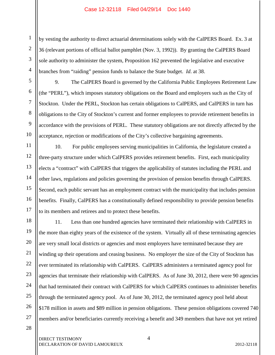by vesting the authority to direct actuarial determinations solely with the CalPERS Board. Ex. 3 at 36 (relevant portions of official ballot pamphlet (Nov. 3, 1992)). By granting the CalPERS Board sole authority to administer the system, Proposition 162 prevented the legislative and executive branches from "raiding" pension funds to balance the State budget. *Id*. at 38.

9. The CalPERS Board is governed by the California Public Employees Retirement Law (the "PERL"), which imposes statutory obligations on the Board and employers such as the City of Stockton. Under the PERL, Stockton has certain obligations to CalPERS, and CalPERS in turn has obligations to the City of Stockton's current and former employees to provide retirement benefits in accordance with the provisions of PERL. These statutory obligations are not directly affected by the acceptance, rejection or modifications of the City's collective bargaining agreements.

10. For public employees serving municipalities in California, the legislature created a three-party structure under which CalPERS provides retirement benefits. First, each municipality elects a "contract" with CalPERS that triggers the applicability of statutes including the PERL and other laws, regulations and policies governing the provision of pension benefits through CalPERS. Second, each public servant has an employment contract with the municipality that includes pension benefits. Finally, CalPERS has a constitutionally defined responsibility to provide pension benefits to its members and retirees and to protect these benefits.

18 26 11. Less than one hundred agencies have terminated their relationship with CalPERS in the more than eighty years of the existence of the system. Virtually all of these terminating agencies are very small local districts or agencies and most employers have terminated because they are winding up their operations and ceasing business. No employer the size of the City of Stockton has ever terminated its relationship with CalPERS. CalPERS administers a terminated agency pool for agencies that terminate their relationship with CalPERS. As of June 30, 2012, there were 90 agencies that had terminated their contract with CalPERS for which CalPERS continues to administer benefits through the terminated agency pool. As of June 30, 2012, the terminated agency pool held about \$178 million in assets and \$89 million in pension obligations. These pension obligations covered 740 members and/or beneficiaries currently receiving a benefit and 349 members that have not yet retired

28

27

1

2

3

4

5

6

7

8

9

10

11

12

13

14

15

16

17

19

20

21

22

23

24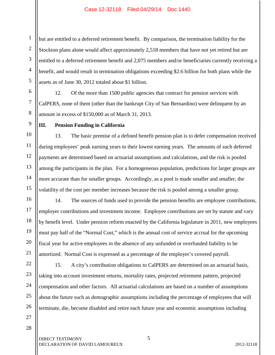but are entitled to a deferred retirement benefit. By comparison, the termination liability for the Stockton plans alone would affect approximately 2,518 members that have not yet retired but are entitled to a deferred retirement benefit and 2,075 members and/or beneficiaries currently receiving a benefit, and would result in termination obligations exceeding \$2.6 billion for both plans while the assets as of June 30, 2012 totaled about \$1 billion.

12. Of the more than 1500 public agencies that contract for pension services with CalPERS, none of them (other than the bankrupt City of San Bernardino) were delinquent by an amount in excess of \$150,000 as of March 31, 2013.

**III. Pension Funding in California**

13. The basic premise of a defined benefit pension plan is to defer compensation received during employees' peak earning years to their lowest earning years. The amounts of such deferred payments are determined based on actuarial assumptions and calculations, and the risk is pooled among the participants in the plan. For a homogeneous population, predictions for larger groups are more accurate than for smaller groups. Accordingly, as a pool is made smaller and smaller, the volatility of the cost per member increases because the risk is pooled among a smaller group.

14. The sources of funds used to provide the pension benefits are employee contributions, employer contributions and investment income. Employee contributions are set by statute and vary by benefit level. Under pension reform enacted by the California legislature in 2011, new employees must pay half of the "Normal Cost," which is the annual cost of service accrual for the upcoming fiscal year for active employees in the absence of any unfunded or overfunded liability to be amortized. Normal Cost is expressed as a percentage of the employer's covered payroll.

22 23 24 25 26 15. A city's contribution obligations to CalPERS are determined on an actuarial basis, taking into account investment returns, mortality rates, projected retirement pattern, projected compensation and other factors. All actuarial calculations are based on a number of assumptions about the future such as demographic assumptions including the percentage of employees that will terminate, die, become disabled and retire each future year and economic assumptions including

27 28

1

2

3

4

5

6

7

8

9

10

11

12

13

14

15

16

17

18

19

20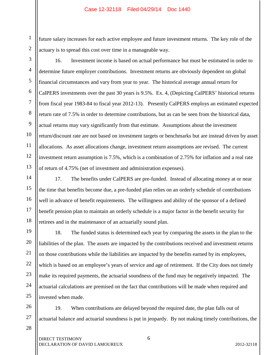1 future salary increases for each active employee and future investment returns. The key role of the actuary is to spread this cost over time in a manageable way.

6

7

8

9

10

11

12

13

14

15

16

17

18

19

20

21

22

23

24

25

16. Investment income is based on actual performance but must be estimated in order to determine future employer contributions. Investment returns are obviously dependent on global financial circumstances and vary from year to year. The historical average annual return for CalPERS investments over the past 30 years is 9.5%. Ex. 4, (Depicting CalPERS' historical returns from fiscal year 1983-84 to fiscal year 2012-13).Presently CalPERS employs an estimated expected return rate of 7.5% in order to determine contributions, but as can be seen from the historical data, actual returns may vary significantly from that estimate. Assumptions about the investment return/discount rate are not based on investment targets or benchmarks but are instead driven by asset allocations. As asset allocations change, investment return assumptions are revised. The current investment return assumption is 7.5%, which is a combination of 2.75% for inflation and a real rate of return of 4.75% (net of investment and administration expenses).

17. The benefits under CalPERS are pre-funded. Instead of allocating money at or near the time that benefits become due, a pre-funded plan relies on an orderly schedule of contributions well in advance of benefit requirements. The willingness and ability of the sponsor of a defined benefit pension plan to maintain an orderly schedule is a major factor in the benefit security for retirees and in the maintenance of an actuarially sound plan.

18. The funded status is determined each year by comparing the assets in the plan to the liabilities of the plan. The assets are impacted by the contributions received and investment returns on those contributions while the liabilities are impacted by the benefits earned by its employees, which is based on an employee's years of service and age of retirement. If the City does not timely make its required payments, the actuarial soundness of the fund may be negatively impacted. The actuarial calculations are premised on the fact that contributions will be made when required and invested when made.

26 27 19. When contributions are delayed beyond the required date, the plan falls out of actuarial balance and actuarial soundness is put in jeopardy. By not making timely contributions, the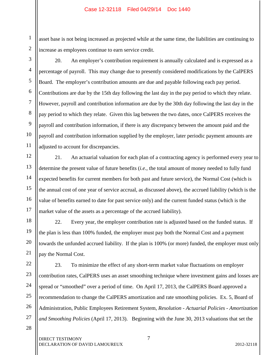asset base is not being increased as projected while at the same time, the liabilities are continuing to increase as employees continue to earn service credit.

1

2

3

4

5

6

7

8

9

10

11

12

13

14

15

16

17

18

19

20

21

20. An employer's contribution requirement is annually calculated and is expressed as a percentage of payroll. This may change due to presently considered modifications by the CalPERS Board. The employer's contribution amounts are due and payable following each pay period. Contributions are due by the 15th day following the last day in the pay period to which they relate. However, payroll and contribution information are due by the 30th day following the last day in the pay period to which they relate. Given this lag between the two dates, once CalPERS receives the payroll and contribution information, if there is any discrepancy between the amount paid and the payroll and contribution information supplied by the employer, later periodic payment amounts are adjusted to account for discrepancies.

21. An actuarial valuation for each plan of a contracting agency is performed every year to determine the present value of future benefits (*i.e.*, the total amount of money needed to fully fund expected benefits for current members for both past and future service), the Normal Cost (which is the annual cost of one year of service accrual, as discussed above), the accrued liability (which is the value of benefits earned to date for past service only) and the current funded status (which is the market value of the assets as a percentage of the accrued liability).

22. Every year, the employer contribution rate is adjusted based on the funded status. If the plan is less than 100% funded, the employer must pay both the Normal Cost and a payment towards the unfunded accrued liability. If the plan is 100% (or more) funded, the employer must only pay the Normal Cost.

22 23 24 25 26 27 23. To minimize the effect of any short-term market value fluctuations on employer contribution rates, CalPERS uses an asset smoothing technique where investment gains and losses are spread or "smoothed" over a period of time. On April 17, 2013, the CalPERS Board approved a recommendation to change the CalPERS amortization and rate smoothing policies. Ex. 5, Board of Administration, Public Employees Retirement System, *Resolution - Actuarial Policies - Amortization and Smoothing Policies* (April 17, 2013). Beginning with the June 30, 2013 valuations that set the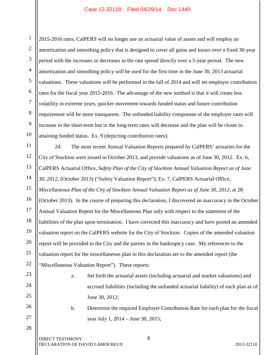1 2 3 4 5 6 7 8 9 10 2015-2016 rates, CalPERS will no longer use an actuarial value of assets and will employ an amortization and smoothing policy that is designed to cover all gains and losses over a fixed 30-year period with the increases or decreases in the rate spread directly over a 5-year period. The new amortization and smoothing policy will be used for the first time in the June 30, 2013 actuarial valuations. These valuations will be performed in the fall of 2014 and will set employer contribution rates for the fiscal year 2015-2016. The advantage of the new method is that it will create less volatility in extreme years, quicker movement towards funded status and future contribution requirement will be more transparent. The unfunded liability component of the employer rates will increase in the short-term but in the long-term rates will decrease and the plan will be closer to attaining funded status. Ex. 9 (depicting contribution rates).

11 12 13 14 15 16 17 18 19 20 21 22 24. The most recent Annual Valuation Reports prepared by CalPERS' actuaries for the City of Stockton were issued in October 2013, and provide valuations as of June 30, 2012. Ex. 6, CalPERS Actuarial Office, *Safety Plan of the City of Stockton Annual Valuation Report as of June 30, 2012*, (October 2013) ("Safety Valuation Report"); Ex. 7, CalPERS Actuarial Office, *Miscellaneous Plan of the City of Stockton Annual Valuation Report as of June 30, 2012*, at 28 (October 2013). In the course of preparing this declaration, I discovered an inaccuracy in the October Annual Valuation Report for the Miscellaneous Plan only with respect to the statement of the liabilities of the plan upon termination. I have corrected this inaccuracy and have posted an amended valuation report on the CalPERS website for the City of Stockton. Copies of the amended valuation report will be provided to the City and the parties in the bankruptcy case. My references to the valuation report for the miscellaneous plan in this declaration are to the amended report (the "Miscellaneous Valuation Report"). These reports:

- a. Set forth the actuarial assets (including actuarial and market valuations) and accrued liabilities (including the unfunded actuarial liability) of each plan as of June 30, 2012;
- b. Determine the required Employer Contribution Rate for each plan for the fiscal year July 1, 2014 – June 30, 2015;

DIRECT TESTIMONY 8 DECLARATION OF DAVID LAMOUREUX 2012-32118

23

24

25

26

27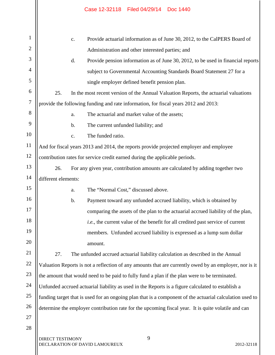|                                                                                                          |    | Case 12-32118 Filed 04/29/14 Doc 1440                                                                  |  |  |
|----------------------------------------------------------------------------------------------------------|----|--------------------------------------------------------------------------------------------------------|--|--|
|                                                                                                          |    |                                                                                                        |  |  |
|                                                                                                          | c. | Provide actuarial information as of June 30, 2012, to the CalPERS Board of                             |  |  |
|                                                                                                          |    | Administration and other interested parties; and                                                       |  |  |
|                                                                                                          | d. | Provide pension information as of June 30, 2012, to be used in financial reports                       |  |  |
|                                                                                                          |    | subject to Governmental Accounting Standards Board Statement 27 for a                                  |  |  |
|                                                                                                          |    | single employer defined benefit pension plan.                                                          |  |  |
| 25.                                                                                                      |    | In the most recent version of the Annual Valuation Reports, the actuarial valuations                   |  |  |
|                                                                                                          |    | provide the following funding and rate information, for fiscal years 2012 and 2013:                    |  |  |
|                                                                                                          | a. | The actuarial and market value of the assets;                                                          |  |  |
|                                                                                                          | b. | The current unfunded liability; and                                                                    |  |  |
|                                                                                                          | c. | The funded ratio.                                                                                      |  |  |
|                                                                                                          |    | And for fiscal years 2013 and 2014, the reports provide projected employer and employee                |  |  |
|                                                                                                          |    | contribution rates for service credit earned during the applicable periods.                            |  |  |
| 26.                                                                                                      |    | For any given year, contribution amounts are calculated by adding together two                         |  |  |
| different elements:                                                                                      |    |                                                                                                        |  |  |
|                                                                                                          | a. | The "Normal Cost," discussed above.                                                                    |  |  |
|                                                                                                          | b. | Payment toward any unfunded accrued liability, which is obtained by                                    |  |  |
|                                                                                                          |    | comparing the assets of the plan to the actuarial accrued liability of the plan,                       |  |  |
|                                                                                                          |    | <i>i.e.</i> , the current value of the benefit for all credited past service of current                |  |  |
|                                                                                                          |    | members. Unfunded accrued liability is expressed as a lump sum dollar                                  |  |  |
|                                                                                                          |    | amount.                                                                                                |  |  |
| 27.                                                                                                      |    | The unfunded accrued actuarial liability calculation as described in the Annual                        |  |  |
|                                                                                                          |    | Valuation Reports is not a reflection of any amounts that are currently owed by an employer, nor is it |  |  |
|                                                                                                          |    | the amount that would need to be paid to fully fund a plan if the plan were to be terminated.          |  |  |
| Unfunded accrued actuarial liability as used in the Reports is a figure calculated to establish a        |    |                                                                                                        |  |  |
| funding target that is used for an ongoing plan that is a component of the actuarial calculation used to |    |                                                                                                        |  |  |

27 28

1

2

3

4

5

6

7

8

9

10

11

12

13

14

15

16

17

18

19

20

21

22

23

24

25

26

DIRECT TESTIMONY 9 DECLARATION OF DAVID LAMOUREUX 2012-32118

determine the employer contribution rate for the upcoming fiscal year. It is quite volatile and can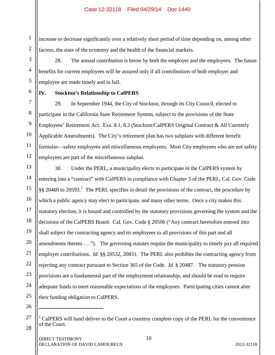increase or decrease significantly over a relatively short period of time depending on, among other factors, the state of the economy and the health of the financial markets.

28. The annual contribution is borne by both the employer and the employees. The future benefits for current employees will be assured only if all contributions of both employer and employee are made timely and in full.

## **IV. Stockton's Relationship to CalPERS**

29. In September 1944, the City of Stockton, through its City Council, elected to participate in the California State Retirement System, subject to the provisions of the State Employees' Retirement Act. Exs. 8.1, 8.2 (Stockton/CalPERS Original Contract & All Currently Applicable Amendments). The City's retirement plan has two subplans with different benefit formulas—safety employees and miscellaneous employees. Most City employees who are not safety employees are part of the miscellaneous subplan.

18 19 20 30. Under the PERL, a municipality elects to participate in the CalPERS system by entering into a "contract" with CalPERS in compliance with Chapter 5 of the PERL, Cal. Gov. Code  $\S$ § 20460 to 20593.<sup>1</sup> The PERL specifies in detail the provisions of the contract, the procedure by which a public agency may elect to participate, and many other terms. Once a city makes this statutory election, it is bound and controlled by the statutory provisions governing the system and the decisions of the CalPERS Board. Cal. Gov. Code § 20506 ("Any contract heretofore entered into shall subject the contracting agency and its employees to all provisions of this part and all amendments thereto . . ."). The governing statutes require the municipality to timely pay all required employer contributions. *Id.* §§ 20532, 20831. The PERL also prohibits the contracting agency from rejecting any contract pursuant to Section 365 of the Code. *Id.* § 20487. The statutory pension provisions are a fundamental part of the employment relationship, and should be read to require adequate funds to meet reasonable expectations of the employees. Participating cities cannot alter their funding obligation to CalPERS.

26

 $\overline{a}$ 

27

28

1

2

3

4

5

6

7

8

9

10

11

12

13

14

15

16

17

21

22

23

24

<sup>1</sup> CalPERS will hand deliver to the Court a courtesy complete copy of the PERL for the convenience of the Court.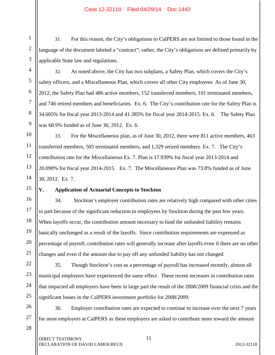31. For this reason, the City's obligations to CalPERS are not limited to those found in the language of the document labeled a "contract"; rather, the City's obligations are defined primarily by applicable State law and regulations.

32. As noted above, the City has two subplans, a Safety Plan, which covers the City's safety officers, and a Miscellaneous Plan, which covers all other City employees As of June 30, 2012, the Safety Plan had 486 active members, 152 transferred members, 101 terminated members, and 746 retired members and beneficiaries. Ex. 6. The City's contribution rate for the Safety Plan is 34.605% for fiscal year 2013-2014 and 41.385% for fiscal year 2014-2015. Ex. 6. The Safety Plan was 68.9% funded as of June 30, 2012. Ex. 6.

33. For the Miscellaneous plan, as of June 30, 2012, there were 811 active members, 463 transferred members, 505 terminated members, and 1,329 retired members. Ex. 7. The City's contribution rate for the Miscellaneous Ex. 7. Plan is 17.939% for fiscal year 2013-2014 and 20.090% for fiscal year 2014-2015. Ex. 7. The Miscellaneous Plan was 73.8% funded as of June 30, 2012. Ex. 7.

## **V. Application of Actuarial Concepts to Stockton**

34.Stockton's employer contribution rates are relatively high compared with other cities in part because of the significant reduction in employees by Stockton during the past few years. When layoffs occur, the contribution amount necessary to fund the unfunded liability remains basically unchanged as a result of the layoffs. Since contribution requirements are expressed as percentage of payroll, contribution rates will generally increase after layoffs even if there are no other changes and even if the amount due to pay off any unfunded liability has not changed.

35. Though Stockton's cost as a percentage of payroll has increased recently, almost all municipal employers have experienced the same effect. These recent increases in contribution rates that impacted all employers have been in large part the result of the 2008/2009 financial crisis and the significant losses in the CalPERS investment portfolio for 2008/2009.

26 27 36. Employer contribution rates are expected to continue to increase over the next 7 years for most employers at CalPERS as these employers are asked to contribute more toward the amount

28

1

2

3

4

5

6

7

8

9

10

11

12

13

14

15

16

17

18

19

20

21

22

23

24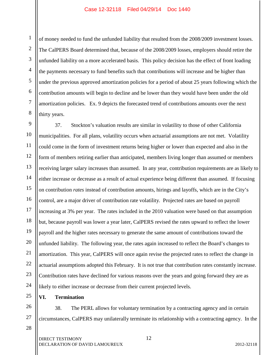of money needed to fund the unfunded liability that resulted from the 2008/2009 investment losses. The CalPERS Board determined that, because of the 2008/2009 losses, employers should retire the unfunded liability on a more accelerated basis. This policy decision has the effect of front loading the payments necessary to fund benefits such that contributions will increase and be higher than under the previous approved amortization policies for a period of about 25 years following which the contribution amounts will begin to decline and be lower than they would have been under the old amortization policies. Ex. 9 depicts the forecasted trend of contributions amounts over the next thirty years.

9 10 11 12 13 14 15 16 17 18 19 20 21 22 23 24 37. Stockton's valuation results are similar in volatility to those of other California municipalities. For all plans, volatility occurs when actuarial assumptions are not met. Volatility could come in the form of investment returns being higher or lower than expected and also in the form of members retiring earlier than anticipated, members living longer than assumed or members receiving larger salary increases than assumed. In any year, contribution requirements are as likely to either increase or decrease as a result of actual experience being different than assumed. If focusing on contribution *rates* instead of contribution amounts, hirings and layoffs, which are in the City's control, are a major driver of contribution rate volatility. Projected rates are based on payroll increasing at 3% per year. The rates included in the 2010 valuation were based on that assumption but, because payroll was lower a year later, CalPERS revised the rates upward to reflect the lower payroll and the higher rates necessary to generate the same amount of contributions toward the unfunded liability. The following year, the rates again increased to reflect the Board's changes to amortization. This year, CalPERS will once again revise the projected rates to reflect the change in actuarial assumptions adopted this February. It is not true that contribution rates constantly increase. Contribution rates have declined for various reasons over the years and going forward they are as likely to either increase or decrease from their current projected levels.

**VI. Termination**

38. The PERL allows for voluntary termination by a contracting agency and in certain circumstances, CalPERS may unilaterally terminate its relationship with a contracting agency. In the

28

25

26

27

1

2

3

4

5

6

7

8

DIRECT TESTIMONY 12 DECLARATION OF DAVID LAMOUREUX 2012-32118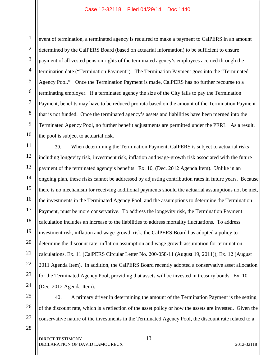1 2 3 4 5 6 7 8 9 10 event of termination, a terminated agency is required to make a payment to CalPERS in an amount determined by the CalPERS Board (based on actuarial information) to be sufficient to ensure payment of all vested pension rights of the terminated agency's employees accrued through the termination date ("Termination Payment"). The Termination Payment goes into the "Terminated Agency Pool." Once the Termination Payment is made, CalPERS has no further recourse to a terminating employer. If a terminated agency the size of the City fails to pay the Termination Payment, benefits may have to be reduced pro rata based on the amount of the Termination Payment that is not funded. Once the terminated agency's assets and liabilities have been merged into the Terminated Agency Pool, no further benefit adjustments are permitted under the PERL. As a result, the pool is subject to actuarial risk.

11 12 13 14 15 16 17 18 19 20 21 22 23 24 39. When determining the Termination Payment, CalPERS is subject to actuarial risks including longevity risk, investment risk, inflation and wage-growth risk associated with the future payment of the terminated agency's benefits. Ex. 10, (Dec. 2012 Agenda Item). Unlike in an ongoing plan, these risks cannot be addressed by adjusting contribution rates in future years. Because there is no mechanism for receiving additional payments should the actuarial assumptions not be met, the investments in the Terminated Agency Pool, and the assumptions to determine the Termination Payment, must be more conservative. To address the longevity risk, the Termination Payment calculation includes an increase to the liabilities to address mortality fluctuations. To address investment risk, inflation and wage-growth risk, the CalPERS Board has adopted a policy to determine the discount rate, inflation assumption and wage growth assumption for termination calculations. Ex. 11 (CalPERS Circular Letter No. 200-058-11 (August 19, 2011)); Ex. 12 (August 2011 Agenda Item). In addition, the CalPERS Board recently adopted a conservative asset allocation for the Terminated Agency Pool, providing that assets will be invested in treasury bonds. Ex. 10 (Dec. 2012 Agenda Item).

25 26 27 40. A primary driver in determining the amount of the Termination Payment is the setting of the discount rate, which is a reflection of the asset policy or how the assets are invested. Given the conservative nature of the investments in the Terminated Agency Pool, the discount rate related to a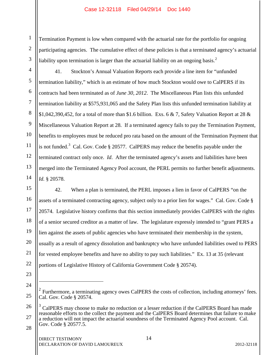1 2 3 Termination Payment is low when compared with the actuarial rate for the portfolio for ongoing participating agencies. The cumulative effect of these policies is that a terminated agency's actuarial liability upon termination is larger than the actuarial liability on an ongoing basis.<sup>2</sup>

41. Stockton's Annual Valuation Reports each provide a line item for "unfunded termination liability," which is an estimate of how much Stockton would owe to CalPERS if its contracts had been terminated as of *June 30, 2012*. The Miscellaneous Plan lists this unfunded termination liability at \$575,931,065 and the Safety Plan lists this unfunded termination liability at \$1,042,390,452, for a total of more than \$1.6 billion. Exs. 6 & 7, Safety Valuation Report at 28 & Miscellaneous Valuation Report at 28. If a terminated agency fails to pay the Termination Payment, benefits to employees must be reduced pro rata based on the amount of the Termination Payment that is not funded.<sup>3</sup> Cal. Gov. Code  $\S 20577$ . CalPERS may reduce the benefits payable under the terminated contract only once. *Id*. After the terminated agency's assets and liabilities have been merged into the Terminated Agency Pool account, the PERL permits no further benefit adjustments. *Id.* § 20578.

42. When a plan is terminated, the PERL imposes a lien in favor of CalPERS "on the assets of a terminated contracting agency, subject only to a prior lien for wages." Cal. Gov. Code § 20574. Legislative history confirms that this section immediately provides CalPERS with the rights of a senior secured creditor as a matter of law. The legislature expressly intended to "grant PERS a lien against the assets of public agencies who have terminated their membership in the system, usually as a result of agency dissolution and bankruptcy who have unfunded liabilities owed to PERS for vested employee benefits and have no ability to pay such liabilities." Ex. 13 at 35 (relevant portions of Legislative History of California Government Code § 20574).

23

 $\overline{a}$ 

4

5

6

7

8

9

10

11

12

13

14

15

16

17

18

19

20

21

<sup>24</sup> 25 Furthermore, a terminating agency owes CalPERS the costs of collection, including attorneys' fees. Cal. Gov. Code § 20574.

<sup>26</sup> 27 <sup>3</sup> CalPERS may choose to make no reduction or a lesser reduction if the CalPERS Board has made reasonable efforts to the collect the payment and the CalPERS Board determines that failure to make a reduction will not impact the actuarial soundness of the Terminated Agency Pool account. Cal. Gov. Code § 20577.5.

<sup>28</sup>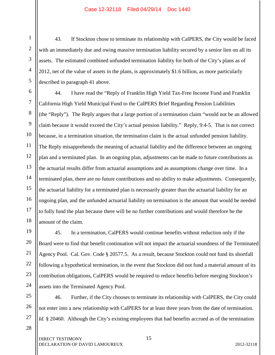43. If Stockton chose to terminate its relationship with CalPERS, the City would be faced with an immediately due and owing massive termination liability secured by a senior lien on all its assets. The estimated combined unfunded termination liability for both of the City's plans as of 2012, net of the value of assets in the plans, is approximately \$1.6 billion, as more particularly described in paragraph 41 above.

44. I have read the "Reply of Franklin High Yield Tax-Free Income Fund and Franklin California High Yield Municipal Fund to the CalPERS Brief Regarding Pension Liabilities (the "Reply"). The Reply argues that a large portion of a termination claim "would not be an allowed claim because it would exceed the City's actual pension liability." Reply, 9:4-5. That is not correct because, in a termination situation, the termination claim is the actual unfunded pension liability. The Reply misapprehends the meaning of actuarial liability and the difference between an ongoing plan and a terminated plan. In an ongoing plan, adjustments can be made to future contributions as the actuarial results differ from actuarial assumptions and as assumptions change over time. In a terminated plan, there are no future contributions and no ability to make adjustments. Consequently, the actuarial liability for a terminated plan is necessarily greater than the actuarial liability for an ongoing plan, and the unfunded actuarial liability on termination is the amount that would be needed to fully fund the plan because there will be no further contributions and would therefore be the amount of the claim.

45. In a termination, CalPERS would continue benefits without reduction only if the Board were to find that benefit continuation will not impact the actuarial soundness of the Terminated Agency Pool. Cal. Gov. Code § 20577.5. As a result, because Stockton could not fund its shortfall following a hypothetical termination, in the event that Stockton did not fund a material amount of its contribution obligations, CalPERS would be required to reduce benefits before merging Stockton's assets into the Terminated Agency Pool.

25 26 46. Further, if the City chooses to terminate its relationship with CalPERS, the City could not enter into a new relationship with CalPERS for at least three years from the date of termination. *Id.* § 20460. Although the City's existing employees that had benefits accrued as of the termination

27

1

2

3

4

5

6

7

8

9

10

11

12

13

14

15

16

17

18

19

20

21

22

23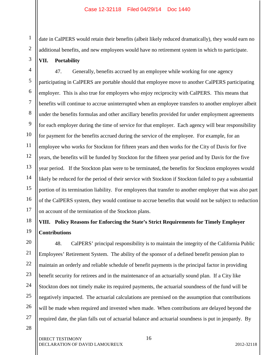date in CalPERS would retain their benefits (albeit likely reduced dramatically), they would earn no additional benefits, and new employees would have no retirement system in which to participate.

**VII. Portability** 

1

2

3

4

5

6

7

8

9

11

15

17

18

19

21

10 12 13 14 16 47. Generally, benefits accrued by an employee while working for one agency participating in CalPERS are portable should that employee move to another CalPERS participating employer. This is also true for employers who enjoy reciprocity with CalPERS. This means that benefits will continue to accrue uninterrupted when an employee transfers to another employer albeit under the benefits formulas and other ancillary benefits provided for under employment agreements for each employer during the time of service for that employer. Each agency will bear responsibility for payment for the benefits accrued during the service of the employee. For example, for an employee who works for Stockton for fifteen years and then works for the City of Davis for five years, the benefits will be funded by Stockton for the fifteen year period and by Davis for the five year period. If the Stockton plan were to be terminated, the benefits for Stockton employees would likely be reduced for the period of their service with Stockton if Stockton failed to pay a substantial portion of its termination liability. For employees that transfer to another employer that was also part of the CalPERS system, they would continue to accrue benefits that would not be subject to reduction on account of the termination of the Stockton plans.

# **VIII. Policy Reasons for Enforcing the State's Strict Requirements for Timely Employer Contributions**

20 22 23 24 25 26 48. CalPERS' principal responsibility is to maintain the integrity of the California Public Employees' Retirement System. The ability of the sponsor of a defined benefit pension plan to maintain an orderly and reliable schedule of benefit payments is the principal factor in providing benefit security for retirees and in the maintenance of an actuarially sound plan. If a City like Stockton does not timely make its required payments, the actuarial soundness of the fund will be negatively impacted. The actuarial calculations are premised on the assumption that contributions will be made when required and invested when made. When contributions are delayed beyond the required date, the plan falls out of actuarial balance and actuarial soundness is put in jeopardy. By

28